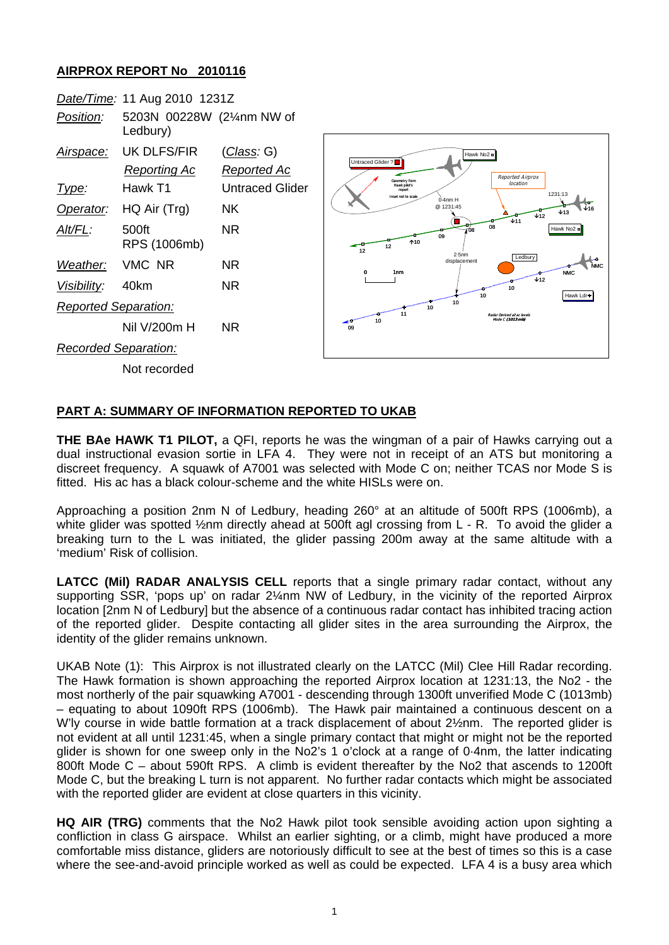## **AIRPROX REPORT No 2010116**

|                             | Date/Time: 11 Aug 2010 1231Z           |                 |
|-----------------------------|----------------------------------------|-----------------|
| Position:                   | 5203N 00228W (21/4nm NW of<br>Ledbury) |                 |
| Airspace:                   | UK DLFS/FIR                            | (Class: G)      |
|                             | Reporting Ac                           | Reported Ac     |
| l ype:                      | Hawk T1                                | Untraced Glider |
|                             | Operator: HQ Air (Trg)                 | NK.             |
| AIt/FL:                     | 500ft<br>RPS (1006mb)                  | NR              |
| Weather: VMC NR             |                                        | NR              |
| Visibility: 40km            |                                        | NR              |
| <b>Reported Separation:</b> |                                        |                 |
|                             | Nil V/200m H                           | NR.             |
| Recorded Separation:        |                                        |                 |
|                             | Not recorded                           |                 |



## **PART A: SUMMARY OF INFORMATION REPORTED TO UKAB**

**THE BAe HAWK T1 PILOT,** a QFI, reports he was the wingman of a pair of Hawks carrying out a dual instructional evasion sortie in LFA 4. They were not in receipt of an ATS but monitoring a discreet frequency. A squawk of A7001 was selected with Mode C on; neither TCAS nor Mode S is fitted. His ac has a black colour-scheme and the white HISLs were on.

Approaching a position 2nm N of Ledbury, heading 260° at an altitude of 500ft RPS (1006mb), a white glider was spotted 1/<sub>2</sub>nm directly ahead at 500ft agl crossing from L - R. To avoid the glider a breaking turn to the L was initiated, the glider passing 200m away at the same altitude with a 'medium' Risk of collision.

**LATCC (Mil) RADAR ANALYSIS CELL** reports that a single primary radar contact, without any supporting SSR, 'pops up' on radar 2¼nm NW of Ledbury, in the vicinity of the reported Airprox location [2nm N of Ledbury] but the absence of a continuous radar contact has inhibited tracing action of the reported glider. Despite contacting all glider sites in the area surrounding the Airprox, the identity of the glider remains unknown.

UKAB Note (1): This Airprox is not illustrated clearly on the LATCC (Mil) Clee Hill Radar recording. The Hawk formation is shown approaching the reported Airprox location at 1231:13, the No2 - the most northerly of the pair squawking A7001 - descending through 1300ft unverified Mode C (1013mb) – equating to about 1090ft RPS (1006mb). The Hawk pair maintained a continuous descent on a W'ly course in wide battle formation at a track displacement of about 2½nm. The reported glider is not evident at all until 1231:45, when a single primary contact that might or might not be the reported glider is shown for one sweep only in the No2's 1 o'clock at a range of 0·4nm, the latter indicating 800ft Mode C – about 590ft RPS. A climb is evident thereafter by the No2 that ascends to 1200ft Mode C, but the breaking L turn is not apparent. No further radar contacts which might be associated with the reported glider are evident at close quarters in this vicinity.

**HQ AIR (TRG)** comments that the No2 Hawk pilot took sensible avoiding action upon sighting a confliction in class G airspace. Whilst an earlier sighting, or a climb, might have produced a more comfortable miss distance, gliders are notoriously difficult to see at the best of times so this is a case where the see-and-avoid principle worked as well as could be expected. LFA 4 is a busy area which